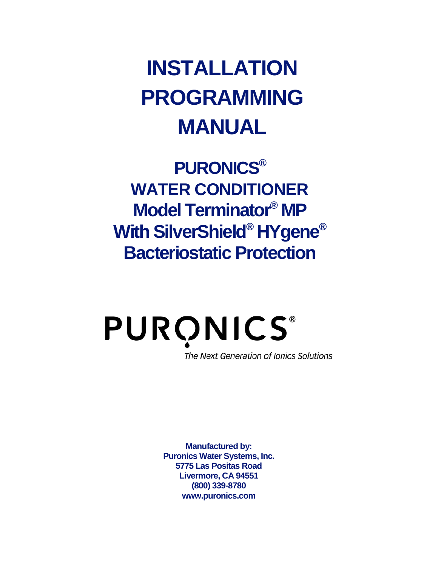## **INSTALLATION PROGRAMMING MANUAL**

**PURONICS® WATER CONDITIONER Model Terminator® MP With SilverShield® HYgene® Bacteriostatic Protection**

### **PURONICS®** The Next Generation of Ionics Solutions

**Manufactured by: Puronics Water Systems, Inc. 5775 Las Positas Road Livermore, CA 94551 (800) 339-8780 www.puronics.com**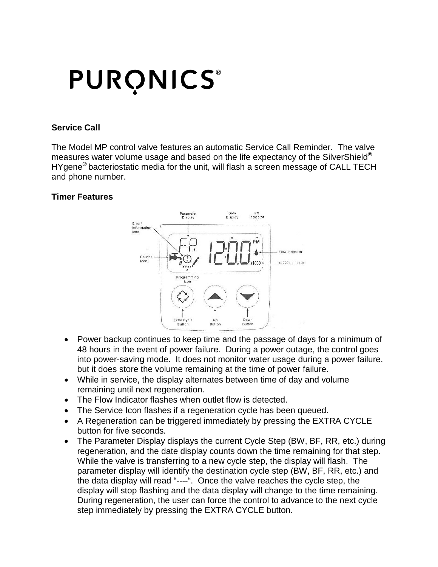# **PURONICS®**

#### **Service Call**

The Model MP control valve features an automatic Service Call Reminder. The valve measures water volume usage and based on the life expectancy of the SilverShield**®** HYgene**®** bacteriostatic media for the unit, will flash a screen message of CALL TECH and phone number.

#### **Timer Features**



- Power backup continues to keep time and the passage of days for a minimum of 48 hours in the event of power failure. During a power outage, the control goes into power-saving mode. It does not monitor water usage during a power failure, but it does store the volume remaining at the time of power failure.
- While in service, the display alternates between time of day and volume remaining until next regeneration.
- The Flow Indicator flashes when outlet flow is detected.
- The Service Icon flashes if a regeneration cycle has been queued.
- A Regeneration can be triggered immediately by pressing the EXTRA CYCLE button for five seconds.
- The Parameter Display displays the current Cycle Step (BW, BF, RR, etc.) during regeneration, and the date display counts down the time remaining for that step. While the valve is transferring to a new cycle step, the display will flash. The parameter display will identify the destination cycle step (BW, BF, RR, etc.) and the data display will read "----". Once the valve reaches the cycle step, the display will stop flashing and the data display will change to the time remaining. During regeneration, the user can force the control to advance to the next cycle step immediately by pressing the EXTRA CYCLE button.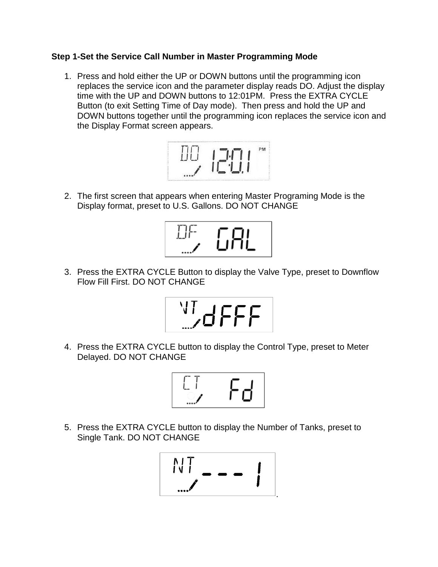#### **Step 1-Set the Service Call Number in Master Programming Mode**

1. Press and hold either the UP or DOWN buttons until the programming icon replaces the service icon and the parameter display reads DO. Adjust the display time with the UP and DOWN buttons to 12:01PM. Press the EXTRA CYCLE Button (to exit Setting Time of Day mode). Then press and hold the UP and DOWN buttons together until the programming icon replaces the service icon and the Display Format screen appears.



2. The first screen that appears when entering Master Programing Mode is the Display format, preset to U.S. Gallons. DO NOT CHANGE



3. Press the EXTRA CYCLE Button to display the Valve Type, preset to Downflow Flow Fill First. DO NOT CHANGE



4. Press the EXTRA CYCLE button to display the Control Type, preset to Meter Delayed. DO NOT CHANGE



5. Press the EXTRA CYCLE button to display the Number of Tanks, preset to Single Tank. DO NOT CHANGE

$$
\frac{NT}{NT} = - - 1
$$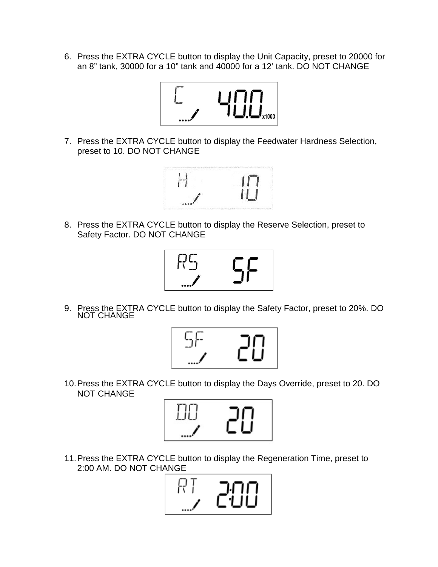6. Press the EXTRA CYCLE button to display the Unit Capacity, preset to 20000 for an 8" tank, 30000 for a 10" tank and 40000 for a 12' tank. DO NOT CHANGE



7. Press the EXTRA CYCLE button to display the Feedwater Hardness Selection, preset to 10. DO NOT CHANGE



8. Press the EXTRA CYCLE button to display the Reserve Selection, preset to Safety Factor. DO NOT CHANGE



9. Press the EXTRA CYCLE button to display the Safety Factor, preset to 20%. DO NOT CHANGE



10.Press the EXTRA CYCLE button to display the Days Override, preset to 20. DO NOT CHANGE



11.Press the EXTRA CYCLE button to display the Regeneration Time, preset to 2:00 AM. DO NOT CHANGE

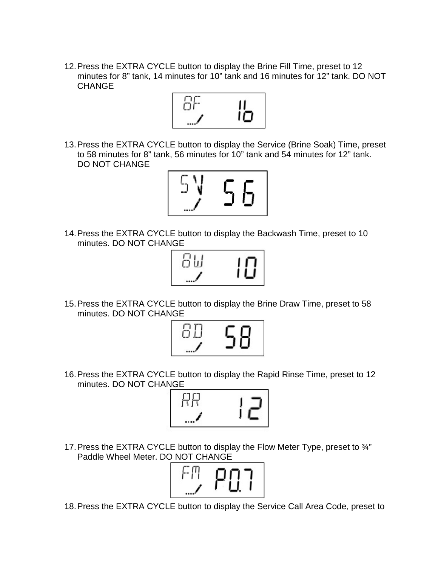12.Press the EXTRA CYCLE button to display the Brine Fill Time, preset to 12 minutes for 8" tank, 14 minutes for 10" tank and 16 minutes for 12" tank. DO NOT **CHANGE** 



13.Press the EXTRA CYCLE button to display the Service (Brine Soak) Time, preset to 58 minutes for 8" tank, 56 minutes for 10" tank and 54 minutes for 12" tank. DO NOT CHANGE



14.Press the EXTRA CYCLE button to display the Backwash Time, preset to 10 minutes. DO NOT CHANGE



15.Press the EXTRA CYCLE button to display the Brine Draw Time, preset to 58 minutes. DO NOT CHANGE



16.Press the EXTRA CYCLE button to display the Rapid Rinse Time, preset to 12 minutes. DO NOT CHANGE



17.Press the EXTRA CYCLE button to display the Flow Meter Type, preset to ¾" Paddle Wheel Meter. DO NOT CHANGE



18.Press the EXTRA CYCLE button to display the Service Call Area Code, preset to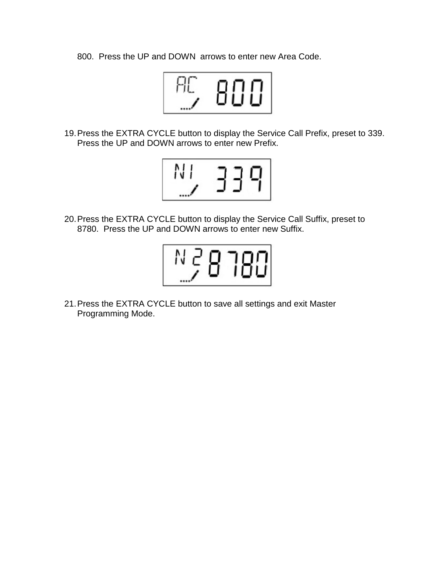800. Press the UP and DOWN arrows to enter new Area Code.



19.Press the EXTRA CYCLE button to display the Service Call Prefix, preset to 339. Press the UP and DOWN arrows to enter new Prefix.



20.Press the EXTRA CYCLE button to display the Service Call Suffix, preset to 8780. Press the UP and DOWN arrows to enter new Suffix.



21.Press the EXTRA CYCLE button to save all settings and exit Master Programming Mode.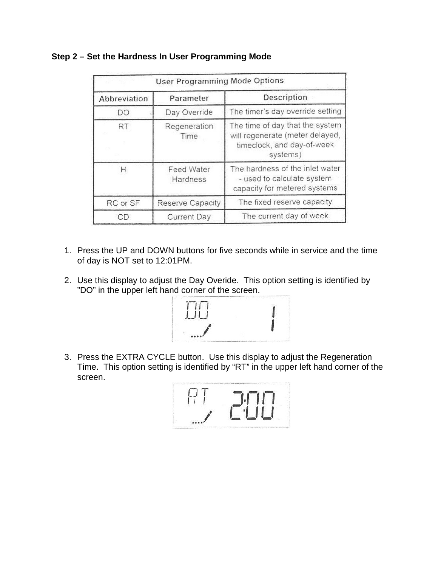| <b>User Programming Mode Options</b> |                               |                                                                                                              |  |  |
|--------------------------------------|-------------------------------|--------------------------------------------------------------------------------------------------------------|--|--|
| Abbreviation                         | Parameter                     | Description                                                                                                  |  |  |
| DO                                   | Day Override                  | The timer's day override setting                                                                             |  |  |
| <b>RT</b>                            | Regeneration<br>Time          | The time of day that the system<br>will regenerate (meter delayed,<br>timeclock, and day-of-week<br>systems) |  |  |
|                                      | <b>Feed Water</b><br>Hardness | The hardness of the inlet water<br>- used to calculate system<br>capacity for metered systems                |  |  |
| RC or SF                             | <b>Reserve Capacity</b>       | The fixed reserve capacity                                                                                   |  |  |
| CD                                   | <b>Current Day</b>            | The current day of week                                                                                      |  |  |

#### **Step 2 – Set the Hardness In User Programming Mode**

- 1. Press the UP and DOWN buttons for five seconds while in service and the time of day is NOT set to 12:01PM.
- 2. Use this display to adjust the Day Overide. This option setting is identified by "DO" in the upper left hand corner of the screen.



3. Press the EXTRA CYCLE button. Use this display to adjust the Regeneration Time. This option setting is identified by "RT" in the upper left hand corner of the screen.

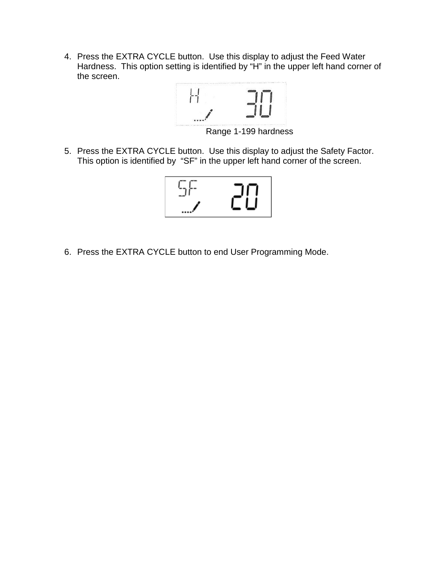4. Press the EXTRA CYCLE button. Use this display to adjust the Feed Water Hardness. This option setting is identified by "H" in the upper left hand corner of the screen.



Range 1-199 hardness

5. Press the EXTRA CYCLE button. Use this display to adjust the Safety Factor. This option is identified by "SF" in the upper left hand corner of the screen.



6. Press the EXTRA CYCLE button to end User Programming Mode.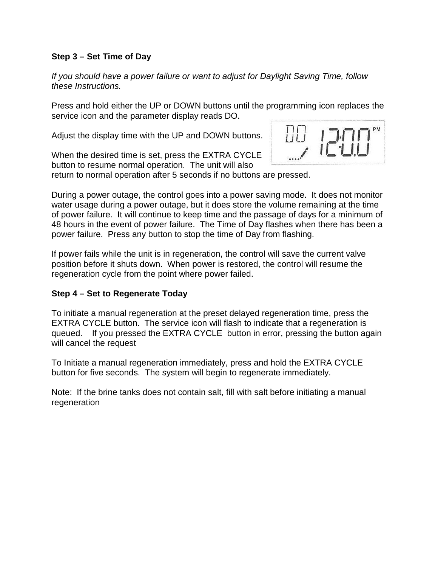#### **Step 3 – Set Time of Day**

*If you should have a power failure or want to adjust for Daylight Saving Time, follow these Instructions.*

Press and hold either the UP or DOWN buttons until the programming icon replaces the service icon and the parameter display reads DO.

Adjust the display time with the UP and DOWN buttons.

When the desired time is set, press the EXTRA CYCLE button to resume normal operation. The unit will also return to normal operation after 5 seconds if no buttons are pressed.



During a power outage, the control goes into a power saving mode. It does not monitor water usage during a power outage, but it does store the volume remaining at the time

of power failure. It will continue to keep time and the passage of days for a minimum of 48 hours in the event of power failure. The Time of Day flashes when there has been a power failure. Press any button to stop the time of Day from flashing.

If power fails while the unit is in regeneration, the control will save the current valve position before it shuts down. When power is restored, the control will resume the regeneration cycle from the point where power failed.

#### **Step 4 – Set to Regenerate Today**

To initiate a manual regeneration at the preset delayed regeneration time, press the EXTRA CYCLE button. The service icon will flash to indicate that a regeneration is queued. If you pressed the EXTRA CYCLE button in error, pressing the button again will cancel the request

To Initiate a manual regeneration immediately, press and hold the EXTRA CYCLE button for five seconds. The system will begin to regenerate immediately.

Note: If the brine tanks does not contain salt, fill with salt before initiating a manual regeneration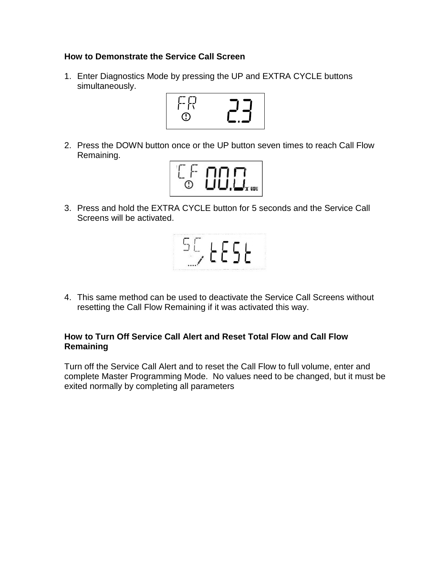#### **How to Demonstrate the Service Call Screen**

1. Enter Diagnostics Mode by pressing the UP and EXTRA CYCLE buttons simultaneously.



2. Press the DOWN button once or the UP button seven times to reach Call Flow Remaining.



3. Press and hold the EXTRA CYCLE button for 5 seconds and the Service Call Screens will be activated.



4. This same method can be used to deactivate the Service Call Screens without resetting the Call Flow Remaining if it was activated this way.

#### **How to Turn Off Service Call Alert and Reset Total Flow and Call Flow Remaining**

Turn off the Service Call Alert and to reset the Call Flow to full volume, enter and complete Master Programming Mode. No values need to be changed, but it must be exited normally by completing all parameters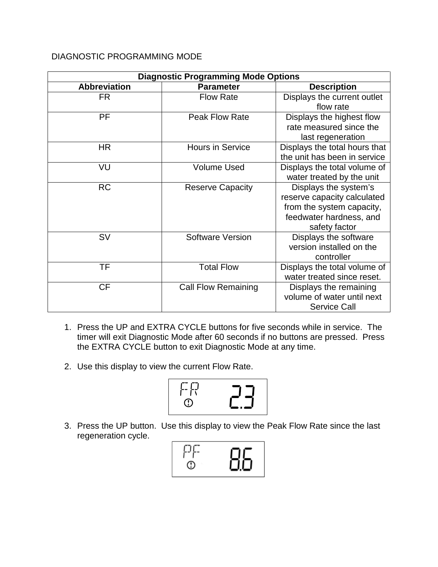#### DIAGNOSTIC PROGRAMMING MODE

| <b>Diagnostic Programming Mode Options</b> |                            |                                                                                                                               |  |
|--------------------------------------------|----------------------------|-------------------------------------------------------------------------------------------------------------------------------|--|
| <b>Abbreviation</b>                        | <b>Parameter</b>           | <b>Description</b>                                                                                                            |  |
| <b>FR</b>                                  | <b>Flow Rate</b>           | Displays the current outlet<br>flow rate                                                                                      |  |
| PF                                         | <b>Peak Flow Rate</b>      | Displays the highest flow<br>rate measured since the<br>last regeneration                                                     |  |
| <b>HR</b>                                  | <b>Hours in Service</b>    | Displays the total hours that<br>the unit has been in service                                                                 |  |
| VU                                         | <b>Volume Used</b>         | Displays the total volume of<br>water treated by the unit                                                                     |  |
| <b>RC</b>                                  | <b>Reserve Capacity</b>    | Displays the system's<br>reserve capacity calculated<br>from the system capacity,<br>feedwater hardness, and<br>safety factor |  |
| <b>SV</b>                                  | <b>Software Version</b>    | Displays the software<br>version installed on the<br>controller                                                               |  |
| TF                                         | <b>Total Flow</b>          | Displays the total volume of<br>water treated since reset.                                                                    |  |
| <b>CF</b>                                  | <b>Call Flow Remaining</b> | Displays the remaining<br>volume of water until next<br><b>Service Call</b>                                                   |  |

- 1. Press the UP and EXTRA CYCLE buttons for five seconds while in service. The timer will exit Diagnostic Mode after 60 seconds if no buttons are pressed. Press the EXTRA CYCLE button to exit Diagnostic Mode at any time.
- 2. Use this display to view the current Flow Rate.



3. Press the UP button. Use this display to view the Peak Flow Rate since the last regeneration cycle.